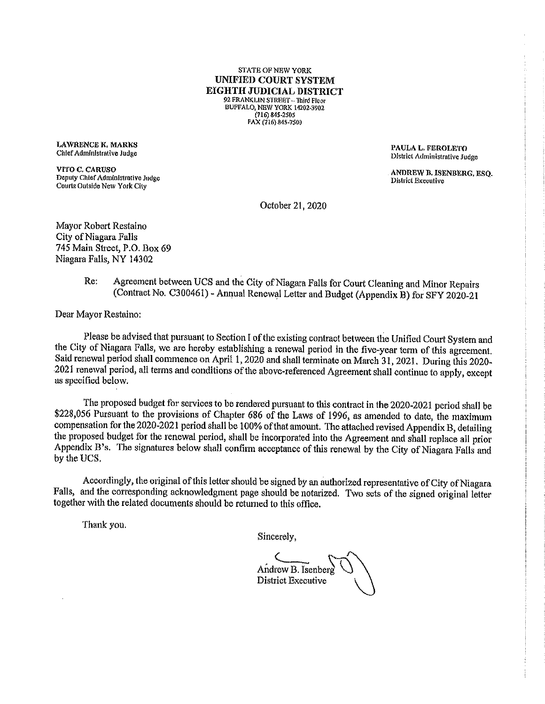STATE OP NEW YORK UNIFIED COURT SYSTEM EIGHTH JUDICIAL DISTRICT 92 FRANKLIN STREET - Third Floor BUFFALO, NEW YORK 14202-3902 (716)845-2505 FAX(7l6)84S.7\$00

LAWRENCE K, MARKS<br>
Chief Administrative Judge Chief Administrative Judge Chief Administrative Judge Chief Administrative Judge C

VITO C. CARUSO<br>
Deputy Chief Administrative Judge<br>
District Executive<br>
District Executive<br>
District Executive  $\sum_{i=1}^{n}$  Chicago District Executive  $\sum_{i=1}^{n}$ Courts Outsicie New York City

District Administrative Judge

October 21, 2020

Mayor Robert Restaino City of Niagara-Falls 79 Main Street, P.O. BOX 69 Niagara Falls, NY 14302

> Re: Agreement between UCS and the City of Niagara Falls for Court Cleaning and Minor Repairs (Contract No. C300461) - Aimual Renewal Letter and Budget (Appendix B) for SPY 2020-21

Dear Mayor Restaino:

Please be advised that pursuant to Section I of the existing contract between the Unified Court System and the City of Niagara Falls, we are hereby establishing a renewal period in the five-year term of this agreement. Said renewal period shall commence on April 1, 2020 and shall terminate on March 31, 2021. During this 2020-.2021 renewal period, all terms and conditions of the above-referenced Agreement shall continue to apply, except as specified below.

The proposed budget for services to be rendered pursuant to this contract in the 2020-2021 period shall be \$228,056 Pursuant to the provisions of Chapter 686 of the Laws of 1996, as amended to date, the maximum compensation for the 2020-2021 period shall be 100% of that amount. The attached revised Appendix B, detailing the proposed budget for the renewal period, shall be incorporated into the Agreement and shall replace all prior Appendix B's. The signatures below shall confirm acceptance of this renewal by the City of Niagara Falls and by the UCS,

Accordingly, the original of this letter should be signed by an authorized representative of City of Niagara Falls, and the corresponding acknowledgment page should be notarized. Two sets of the signed original letter together wild the related documents should be returned to this office.

Thank you.

Sincerely,

Andrew B. Isenberr District Executive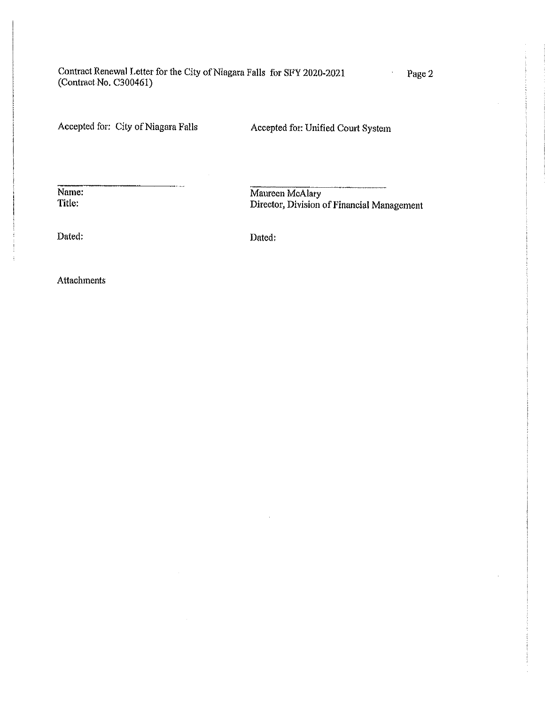Contract Renewal Letter for the City of Niagara Falls for SFY 2020-2021 Page 2 (Contract Ho. C300461)

Accepted for: City of Niagara Falls Accepted for: Unified Court System

Name: Maureen McAlary<br>Title: Director. Division Director, Division of Financial Management

Dated: Dated;

Attachments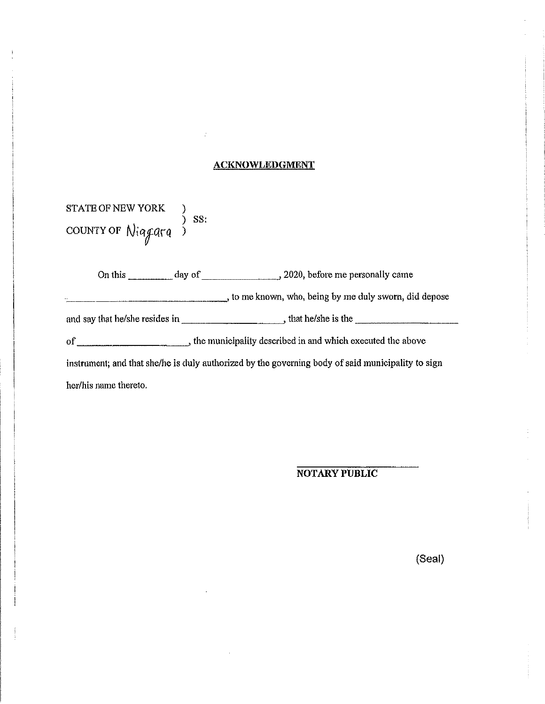### ACKNOWLEDGMENT

| <b>STATE OF NEW YORK</b> |  |            |
|--------------------------|--|------------|
| countrof Niggara         |  | $\sum$ SS: |

On this day of ^ 2020, before me personally came and say that he/she resides in , that he/she is the to me known, who, being by me duly sworn, did depose of ^ the municipality described in and which executed ttie al?ove instrument; and that she/he is duly authorized by the governing body of said municipality to sign her/his name thereto.

NOTARY PUBLIC

(Seal)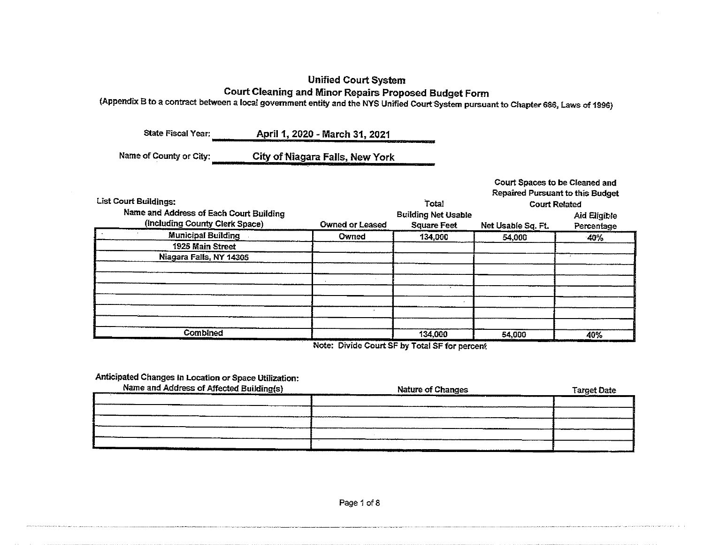## Unified Court System Court Cleaning and Minor Repairs Proposed Budget Form

(Appendix B to a contract between a local government entity and the NYS Unified Court System pursuant to Chapter 686, Laws of 199S)

State Fiscal Year: April 1, 2020 - March 31,2021

Name of County or City: City of Niagara Falls, New York

|                                         |                        |                                  | Court Spaces to be Cleaned and |              |
|-----------------------------------------|------------------------|----------------------------------|--------------------------------|--------------|
|                                         |                        | Repaired Pursuant to this Budget |                                |              |
| <b>List Court Buildings:</b>            | Total                  | <b>Court Related</b>             |                                |              |
| Name and Address of Each Court Building |                        | <b>Building Net Usable</b>       |                                | Aid Eligible |
| (including County Clerk Space)          | <b>Owned or Leased</b> | <b>Square Feet</b>               | Net Usable Sq. Ft.             | Percentage   |
| <b>Municipal Building</b>               | Owned                  | 134,000                          | 54,000                         | $-40%$       |
| 1925 Main Street                        |                        |                                  |                                |              |
| Niagara Falls, NY 14305                 |                        |                                  |                                |              |
|                                         |                        |                                  |                                |              |
|                                         |                        |                                  |                                |              |
|                                         |                        |                                  |                                |              |
|                                         |                        |                                  |                                |              |
|                                         |                        |                                  |                                |              |
|                                         |                        |                                  |                                |              |
| Combined                                |                        | 134,000                          | 54,000                         | 40%          |

Note: Divide Court SF by Total SF for percenf:

## Anticipated Changes in Location or Space Utilization:

| Name and Address of Affected Building(s) | <b>Nature of Changes</b> | <b>Target Date</b> |
|------------------------------------------|--------------------------|--------------------|
|                                          |                          |                    |
|                                          |                          |                    |
|                                          |                          |                    |
|                                          |                          |                    |
|                                          |                          |                    |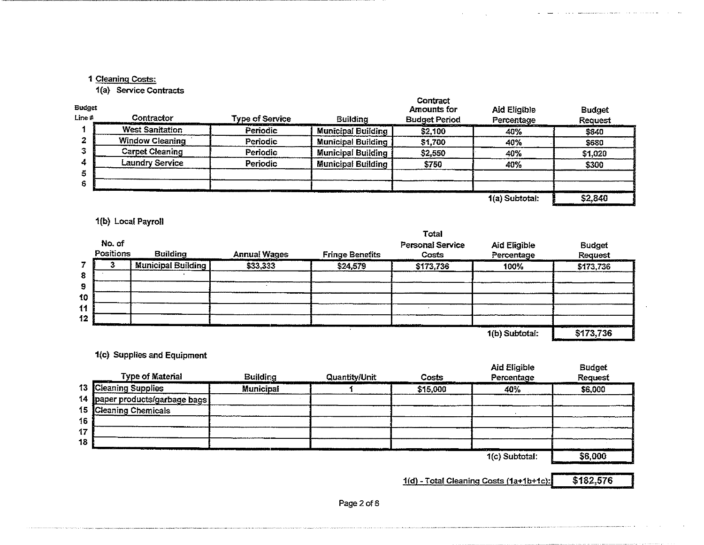## 1 Cleaning Costs:

1(a) Service Contracts

| Budget<br>Line # | Contractor             | <b>Type of Service</b> | <b>Building</b>           | Contract<br>Amounts for<br><b>Budget Period</b> | Aid Eligible<br>Percentage                                   | <b>Budget</b><br>Request       |
|------------------|------------------------|------------------------|---------------------------|-------------------------------------------------|--------------------------------------------------------------|--------------------------------|
|                  | <b>West Sanitation</b> | Periodic               | <b>Municipal Building</b> | \$2,100                                         | 40%                                                          | \$840                          |
|                  | Window Cleaning        | Periodic               | Municipal Building        | \$1,700                                         | 40%                                                          | \$680                          |
|                  | <b>Carpet Cleaning</b> | Periodic               | <b>Municipal Building</b> | \$2,550                                         | 40%                                                          | \$1,020                        |
|                  | Laundry Service        | Periodic               | <b>Municipal Building</b> | \$750                                           | 40%                                                          | \$300                          |
|                  |                        |                        |                           |                                                 |                                                              |                                |
|                  |                        | .                      |                           |                                                 |                                                              |                                |
|                  |                        |                        |                           |                                                 | the state of the state of the state of the<br>1(a) Subtotal: | <b>COLORED AT 1</b><br>\$2,840 |

## 1(b) Local Payroll

| No. of<br>Positions | <b>Building</b>           | <b>Annual Wages</b> | <b>Fringe Benefits</b> | Personal Service<br>Costs | Aid Eligible<br>Percentage | <b>Budget</b><br>Request |
|---------------------|---------------------------|---------------------|------------------------|---------------------------|----------------------------|--------------------------|
|                     | <b>Municipal Building</b> | \$33,333            | \$24,579               | \$173,736                 | 100%                       | \$173,736                |
|                     |                           |                     |                        |                           |                            |                          |
|                     |                           |                     |                        |                           |                            |                          |
|                     |                           |                     |                        |                           |                            |                          |
|                     |                           |                     |                        |                           |                            |                          |
| . .                 |                           |                     |                        |                           | 1(b) Subtotal:             | \$173,736                |

1<c) Supplies and Equipment

|    | <b>Type of Material</b>        | <b>Building</b> | Quantity/Unit | Costs    | Aid Eligible<br>Percentage         | <b>Budget</b><br><b>Request</b> |
|----|--------------------------------|-----------------|---------------|----------|------------------------------------|---------------------------------|
|    | 13 Cleaning Supplies           | Municipal       |               | \$15,000 | 40%                                | \$6,000                         |
|    | 14 paper products/garbage bags |                 |               |          |                                    |                                 |
|    | 15 Cleaning Chemicals          |                 |               |          |                                    |                                 |
| 16 |                                |                 |               |          |                                    |                                 |
| 17 |                                |                 |               |          |                                    |                                 |
| 18 |                                |                 |               |          |                                    |                                 |
|    |                                |                 |               |          | <b>CALL 1999</b><br>1(c) Subtotal: | _____<br>\$6,000                |

 $1(d)$  - Total Cleaning Costs (1a+1b+1c): \$182,576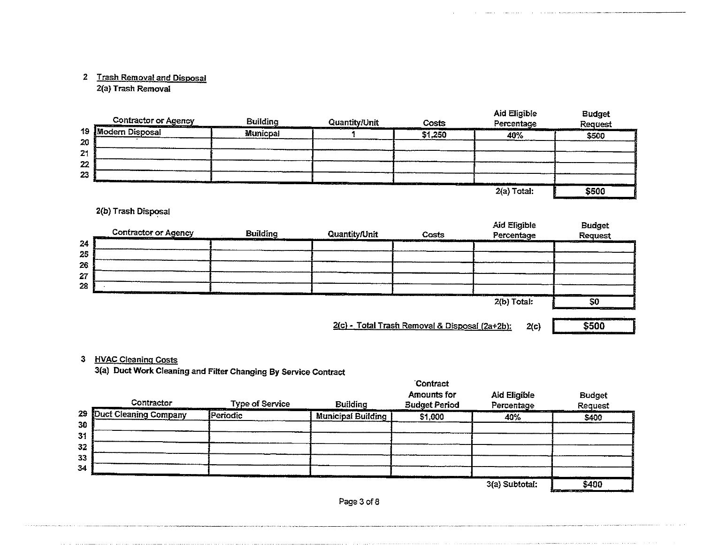## 2 Trash Removal and Disposal

2(a) Trash Removal

| <b>Contractor or Agency</b><br>And the control of the control of the control of the control of the control of the control of the control of | <b>Building</b> | Quantity/Unit<br>the company's and company's pro- | Costs   | Aid Eligible<br>Percentage | <b>Budget</b><br>Request |
|---------------------------------------------------------------------------------------------------------------------------------------------|-----------------|---------------------------------------------------|---------|----------------------------|--------------------------|
| 19<br><b>Modern Disposal</b>                                                                                                                | Municpal        |                                                   | \$1,250 | 40%                        | ALC: NAME OF<br>\$500    |
| 20                                                                                                                                          |                 |                                                   |         |                            |                          |
| 2 <sub>1</sub>                                                                                                                              |                 |                                                   |         |                            |                          |
| 22                                                                                                                                          |                 |                                                   |         |                            |                          |
| 23<br>$\cdots$                                                                                                                              | ______<br>.     |                                                   |         |                            |                          |
|                                                                                                                                             |                 | the contract of the contract                      |         | 2(a) Total:                | \$500                    |

## 2(b) Trash Disposal

|          | Contractor or Agency<br>منظر فالتباد<br>----                                                                                                                                                                                                                 | <b>Building</b><br>$\cdots$<br>. . | <b>Quantity/Unit</b>                       | Costs                                                                                      | Aid Eligible<br>Percentage | <b>Budget</b><br><b>Request</b>                                                                                                                    |
|----------|--------------------------------------------------------------------------------------------------------------------------------------------------------------------------------------------------------------------------------------------------------------|------------------------------------|--------------------------------------------|--------------------------------------------------------------------------------------------|----------------------------|----------------------------------------------------------------------------------------------------------------------------------------------------|
| 24       |                                                                                                                                                                                                                                                              |                                    |                                            |                                                                                            | . <i>.</i>                 | the company of the company of                                                                                                                      |
| 25<br>26 |                                                                                                                                                                                                                                                              |                                    |                                            |                                                                                            |                            |                                                                                                                                                    |
| 27       |                                                                                                                                                                                                                                                              |                                    |                                            |                                                                                            |                            |                                                                                                                                                    |
| 28       | <b>Contract Contract Contract Contract Contract Contract Contract Contract Contract Contract Contract Contract Contract Contract Contract Contract Contract Contract Contract Contract Contract Contract Contract Contract Contr</b><br>________<br>. .<br>. |                                    |                                            |                                                                                            |                            |                                                                                                                                                    |
|          |                                                                                                                                                                                                                                                              | ----                               | <b>Address \$100</b><br>.<br>. .<br>$\sim$ | ان الأنزلين بالركيل في المناب التي يست<br><b>The Company of the Company of the Company</b> | .<br>2(b) Total:           | والمستبركة<br>S0                                                                                                                                   |
|          |                                                                                                                                                                                                                                                              |                                    |                                            |                                                                                            |                            | <b>MATTAILLEE BR</b><br><u> 1980 - An Dùbhlachd Mar Mar Mar an an Dùbhlachd an Dùbhlachd an Dùbhlachd an Dùbhlachd an Dùbhlachd an Dùbhlachd a</u> |

 $2(c)$  - Total Trash Removal & Disposal (2a+2b): 2(c) \$500

## $\frac{1128}{200}$

3(a) Duct Work Cleaning and Filter Changing By Service Contract

|          | Contractor                | <b>Type of Service</b><br>case case of | <b>Building</b>           | <b>Contract</b><br>Amounts for<br><b>Budget Period</b> | Aid Eligible<br>Percentage | <b>Budget</b><br>Request |
|----------|---------------------------|----------------------------------------|---------------------------|--------------------------------------------------------|----------------------------|--------------------------|
| 30       | 29 Duct Cleaning Company  | Periodic                               | <b>Municipal Building</b> | \$1,000                                                | <br>40%                    | \$400                    |
| 31       |                           |                                        |                           |                                                        |                            |                          |
| 32<br>33 |                           |                                        |                           |                                                        |                            |                          |
| 34       | <b>Separation Service</b> |                                        |                           |                                                        |                            |                          |
|          |                           | .                                      |                           |                                                        | 3(a) Subtotal:             | \$400                    |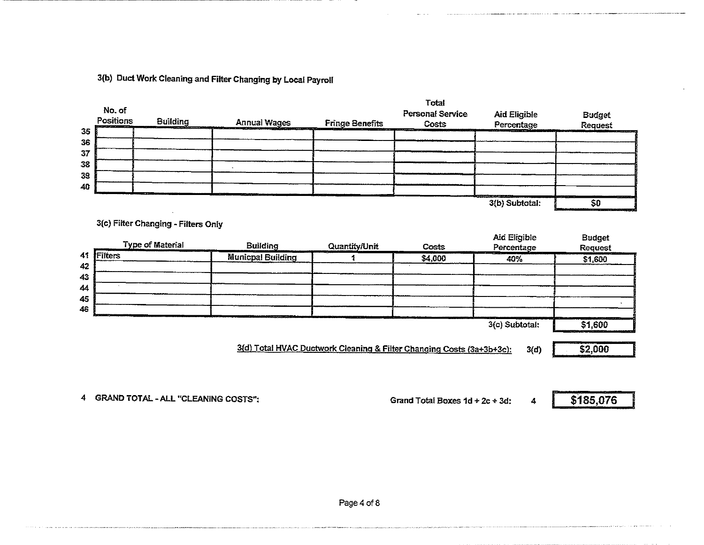3(b) Duct Work Cleaning and Filter Changing by Local Payroll

| No. of<br>Positions | <b>Building</b>                     | <b>Annual Wages</b>      | <b>Fringe Benefits</b> | Total<br>Personal Service<br>Costs | <b>Aid Eligible</b><br>Percentage | <b>Budget</b><br><b>Request</b> |
|---------------------|-------------------------------------|--------------------------|------------------------|------------------------------------|-----------------------------------|---------------------------------|
|                     |                                     |                          |                        |                                    |                                   |                                 |
|                     |                                     |                          |                        |                                    |                                   |                                 |
|                     |                                     |                          |                        |                                    |                                   |                                 |
|                     |                                     |                          |                        |                                    |                                   |                                 |
|                     |                                     |                          |                        |                                    |                                   |                                 |
|                     |                                     |                          |                        |                                    |                                   |                                 |
|                     | 3(c) Filter Changing - Filters Only |                          |                        |                                    | 3(b) Subtotal:                    | \$0                             |
|                     |                                     |                          |                        |                                    |                                   |                                 |
|                     | <b>Type of Material</b>             | <b>Building</b>          | Quantity/Unit          | Costs                              | Aid Eligible<br>Percentage        | <b>Budget</b><br><b>Request</b> |
|                     |                                     | <b>Municpal Building</b> | 1                      | \$4,000                            | 40%                               | \$1,600                         |
|                     |                                     |                          |                        |                                    |                                   |                                 |
|                     |                                     |                          |                        |                                    |                                   |                                 |
|                     |                                     |                          |                        |                                    |                                   |                                 |
| Filters             |                                     |                          |                        |                                    | 3(c) Subtotal:                    | \$1,600                         |

.<br>An island the strip of the continuum continuum and an international continuum and processive continuum and an

ومنتزع والمتنا ومواليه والممتني والتاريخ والمستني والترا والمتحربين ومورسته ومرورة

4 GRAND TOTAL - ALL "CLEANING COSTS": Grand Total Boxes 1d + 2c + 3d:  $4$  \$185,076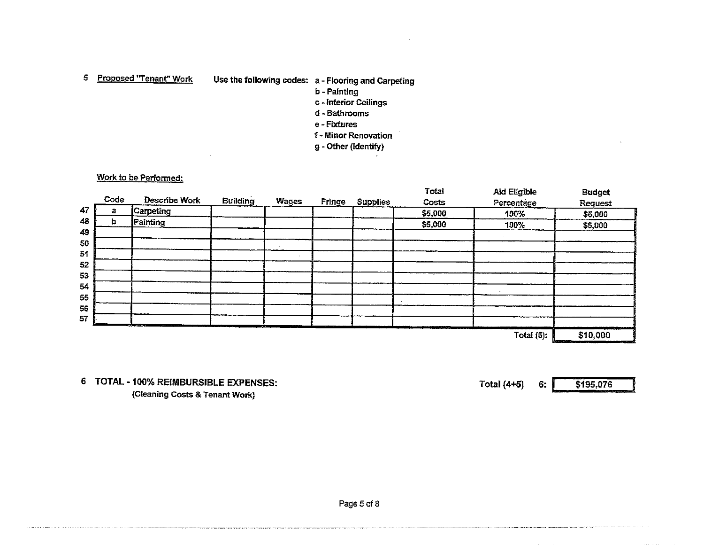5 Proposed "Tenant" Work Use the following codes: a - Flooring and Carpeting

- b Painting
- c Interior Ceilings
- d" Bathrooms
- e Fixtures
- f Minor Renovation
- g Other (Identify)

### Work to be Performed:

|         |                  |                 |              |        |                 | Total   | <b>Aid Eligible</b> | <b>Budget</b> |
|---------|------------------|-----------------|--------------|--------|-----------------|---------|---------------------|---------------|
| Code    | Describe Work    | <b>Building</b> | <b>Wages</b> | Fringe | <b>Supplies</b> | Costs   | Percentage          | Request       |
| 47<br>а | <b>Carpeting</b> |                 |              |        |                 | \$5,000 | 100%                | \$5,000       |
| 48<br>b | Painting         |                 |              |        |                 | \$5,000 | 100%                | \$5,000       |
|         |                  |                 |              |        |                 |         |                     |               |
|         |                  |                 |              |        |                 |         |                     |               |
|         |                  |                 |              |        |                 |         |                     |               |
|         |                  |                 |              |        |                 |         |                     |               |
|         |                  |                 |              |        |                 |         |                     |               |
|         |                  |                 |              |        |                 |         |                     |               |
|         |                  |                 |              |        |                 |         |                     |               |
|         |                  |                 |              |        |                 |         |                     |               |
|         |                  |                 |              |        |                 |         |                     |               |
|         | State County     | $ -$            |              |        |                 |         | ستنتقذ              |               |
|         |                  |                 |              |        |                 |         | Total $(5)$ :       | \$10,000      |

TOTAL - 100% REIMBURSiBLE EXPENSES: (Cfeaning Costs & Tenant Work}

Total (4+5) 6: \$195,076

Page 5 of 8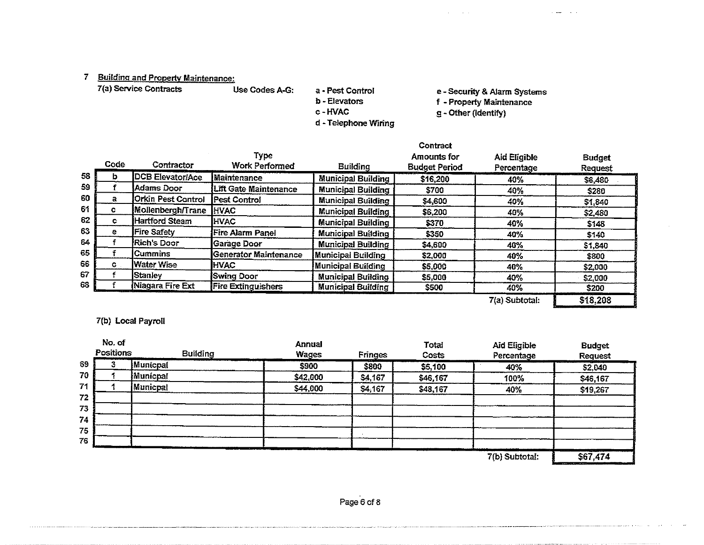# 7 Building and Property Maintenance:<br>7(a) Service Contracts Use Codes A-G:

7{a) Service Contracts Use Codes A-G: a - Pest Control

d - Telephone Wiring

e - Security & Alarm Systems

b - Elevators c-HVAC

f - Property Maintenance

g - Other (Identify)

 $\mathbf{w} = \mathbf{w} \cdot \mathbf{w}$  ,  $\mathbf{w} = \mathbf{w}$  ,

|    | Code           | Contractor              | Type<br><b>Work Performed</b> | <b>Building</b>           | Contract<br>Amounts for<br><b>Budget Period</b> | <b>Aid Eligible</b><br>Percentage | <b>Budget</b><br><b>Request</b> |
|----|----------------|-------------------------|-------------------------------|---------------------------|-------------------------------------------------|-----------------------------------|---------------------------------|
| 58 | b              | <b>DCB Elevator/Ace</b> | <b>Maintenance</b>            | <b>Municipal Building</b> | \$16,200                                        | 40%                               | \$6,480                         |
| 59 |                | lAdams Door             | <b>Lift Gate Maintenance</b>  | <b>Municipal Building</b> | \$700                                           | 40%                               | \$280                           |
| 60 | а              | Orkin Pest Control      | <b>Pest Control</b>           | <b>Municipal Building</b> | \$4,600                                         | 40%                               | \$1,840                         |
| 61 |                | Mollenbergh/Trane       | <b>IHVAC</b>                  | <b>Municipal Building</b> | \$6,200                                         | 40%                               | \$2,480                         |
| 62 |                | Hartford Steam          | <b>HVAC</b>                   | <b>Municipal Building</b> | \$370                                           | 40%                               | \$148                           |
| 63 | e.             | Fire Safety             | Fire Alarm Panel              | <b>Municipal Building</b> | \$350                                           | 40%                               | \$140                           |
| 64 |                | Rich's Door             | Garage Door                   | <b>Municipal Building</b> | \$4,600                                         | 40%                               | \$1,840                         |
| 65 |                | lCummins                | Generator Maintenance         | Municipal Building        | \$2,000                                         | 40%                               | \$800                           |
| 66 | $\mathbf{c}$ . | <b>Water Wise</b>       | <b>HVAC</b>                   | Municipal Building        | \$5,000                                         | 40%                               | \$2,000                         |
| 67 |                | Stanley                 | <b>Swing Door</b>             | <b>Municipal Building</b> | \$5,000                                         | 40%                               | \$2,000                         |
| 68 |                | Niagara Fire Ext        | <b>Fire Extinguishers</b>     | <b>Municipal Building</b> | \$500                                           | 40%                               | \$200                           |
|    |                |                         |                               |                           |                                                 | 7(a) Subtotal:                    | \$18,208                        |

## 7(b) Local Payroll

|    | No. of<br>Positions | <b>Building</b> | <b>Annual</b><br>Wages | Fringes | <b>Total</b><br>Costs | <b>Aid Eligible</b><br>Percentage | <b>Budget</b><br><b>Request</b>                                                        |
|----|---------------------|-----------------|------------------------|---------|-----------------------|-----------------------------------|----------------------------------------------------------------------------------------|
| 69 |                     | Municpal        | \$900                  | \$800   | \$5,100               | 40%                               | \$2,040                                                                                |
| 70 |                     | <b>Municpal</b> | \$42,000               | \$4,167 | \$46,167              | 100%                              | \$46,167                                                                               |
| 71 |                     | Municpal        | \$44,000               | \$4,167 | \$48,167              | 40%                               | \$19,267                                                                               |
| 72 |                     |                 |                        |         |                       |                                   |                                                                                        |
| 73 |                     |                 |                        |         |                       |                                   |                                                                                        |
| 74 |                     |                 |                        |         |                       |                                   |                                                                                        |
| 75 |                     |                 |                        |         |                       |                                   |                                                                                        |
| 76 |                     |                 |                        |         |                       |                                   |                                                                                        |
|    |                     |                 |                        |         |                       | 7(b) Subtotal:                    | the committee of the committee of the<br><b>Contract Contract Contract</b><br>\$67,474 |

7(b} Subtotal:

 $\alpha$  -since  $\beta$  ,  $\beta$  ,  $\beta$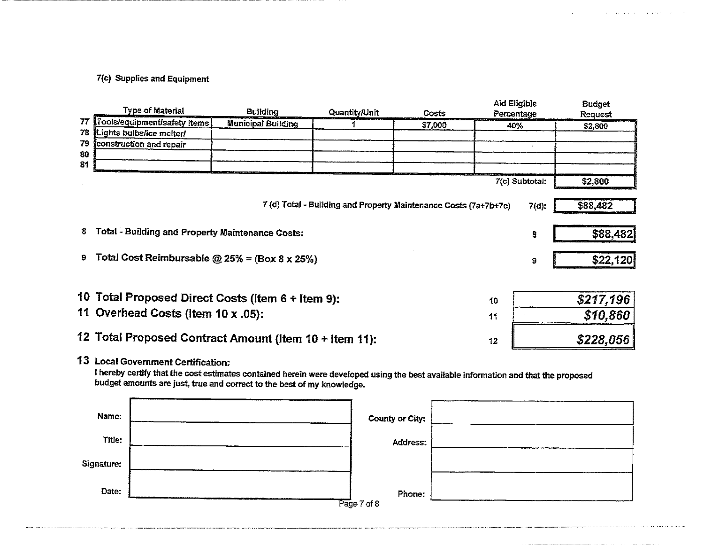## 7{c) Supplies and Equipment

|                                                              | <b>Type of Material</b>                                 | <b>Building</b>           | Quantity/Unit                                                    | Costs   | Aid Eligible<br>Percentage |           | <b>Budget</b><br><b>Request</b> |
|--------------------------------------------------------------|---------------------------------------------------------|---------------------------|------------------------------------------------------------------|---------|----------------------------|-----------|---------------------------------|
| 77                                                           | Tools/equipment/safety items                            | <b>Municipal Building</b> |                                                                  | \$7,000 | 40%                        |           | \$2,800                         |
| 78                                                           | Lights bulbs/ice melter/                                |                           |                                                                  |         |                            |           |                                 |
| 79                                                           | construction and repair                                 |                           |                                                                  |         |                            |           |                                 |
| 80                                                           |                                                         |                           |                                                                  |         |                            |           |                                 |
| 81                                                           |                                                         |                           |                                                                  |         |                            |           |                                 |
|                                                              |                                                         |                           |                                                                  |         | 7(c) Subtotal:             |           | \$2,800                         |
|                                                              |                                                         |                           | 7 (d) Total - Building and Property Maintenance Costs (7a+7b+7c) |         |                            | 7(d):     | \$88,482                        |
| 8                                                            | Total - Building and Property Maintenance Costs:        |                           |                                                                  |         |                            | 8         | \$88,482                        |
| 9                                                            | Total Cost Reimbursable $@25\% = (Box 8 \times 25\%)$   |                           |                                                                  |         |                            | 9         | \$22,120                        |
|                                                              |                                                         |                           |                                                                  |         |                            |           |                                 |
|                                                              | 10 Total Proposed Direct Costs (Item 6 + Item 9):<br>10 |                           |                                                                  |         |                            | \$217,196 |                                 |
|                                                              | 11 Overhead Costs (Item 10 x .05):<br>11                |                           |                                                                  |         |                            | \$10.860  |                                 |
| 12 Total Proposed Contract Amount (Item 10 + Item 11):<br>12 |                                                         |                           |                                                                  |         | \$228.056                  |           |                                 |

**Contractor** 

13 Local Government Certification:

I hereby certify that the cost estimates contained herein were developed using the best available information and that the proposed budget amounts are just, true and correct to the best of my knowledge.

| Name:      | County or City:       |  |
|------------|-----------------------|--|
| Title:     | Address:              |  |
| Signature: |                       |  |
| Date:      | Phone:<br>Page 7 of 8 |  |